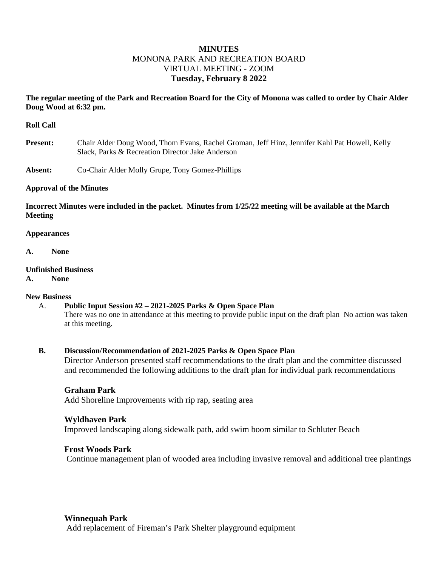# **MINUTES** MONONA PARK AND RECREATION BOARD VIRTUAL MEETING - ZOOM **Tuesday, February 8 2022**

## **The regular meeting of the Park and Recreation Board for the City of Monona was called to order by Chair Alder Doug Wood at 6:32 pm.**

#### **Roll Call**

- **Present:** Chair Alder Doug Wood, Thom Evans, Rachel Groman, Jeff Hinz, Jennifer Kahl Pat Howell, Kelly Slack, Parks & Recreation Director Jake Anderson
- **Absent:** Co-Chair Alder Molly Grupe, Tony Gomez-Phillips

#### **Approval of the Minutes**

**Incorrect Minutes were included in the packet. Minutes from 1/25/22 meeting will be available at the March Meeting**

#### **Appearances**

**A. None**

#### **Unfinished Business**

**A. None**

#### **New Business**

#### A. **Public Input Session #2 – 2021-2025 Parks & Open Space Plan**

There was no one in attendance at this meeting to provide public input on the draft plan No action was taken at this meeting.

#### **B. Discussion/Recommendation of 2021-2025 Parks & Open Space Plan**

Director Anderson presented staff recommendations to the draft plan and the committee discussed and recommended the following additions to the draft plan for individual park recommendations

#### **Graham Park**

Add Shoreline Improvements with rip rap, seating area

#### **Wyldhaven Park**

Improved landscaping along sidewalk path, add swim boom similar to Schluter Beach

#### **Frost Woods Park**

Continue management plan of wooded area including invasive removal and additional tree plantings

#### **Winnequah Park**

Add replacement of Fireman's Park Shelter playground equipment